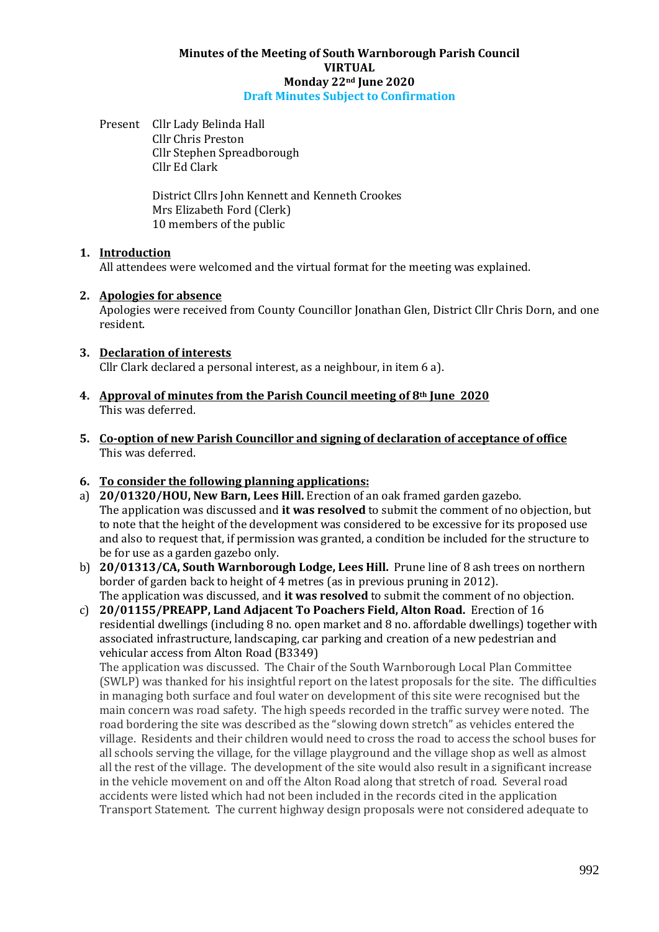#### **Minutes of the Meeting of South Warnborough Parish Council VIRTUAL Monday 22nd June 2020 Draft Minutes Subject to Confirmation**

Present Cllr Lady Belinda Hall Cllr Chris Preston Cllr Stephen Spreadborough Cllr Ed Clark

> District Cllrs John Kennett and Kenneth Crookes Mrs Elizabeth Ford (Clerk) 10 members of the public

### **1. Introduction**

All attendees were welcomed and the virtual format for the meeting was explained.

## **2. Apologies for absence**

Apologies were received from County Councillor Jonathan Glen, District Cllr Chris Dorn, and one resident.

### **3. Declaration of interests**

Cllr Clark declared a personal interest, as a neighbour, in item 6 a).

- **4. Approval of minutes from the Parish Council meeting of 8th June 2020** This was deferred.
- **5. Co-option of new Parish Councillor and signing of declaration of acceptance of office** This was deferred.

# **6. To consider the following planning applications:**

- a) **20/01320/HOU, New Barn, Lees Hill.** Erection of an oak framed garden gazebo. The application was discussed and **it was resolved** to submit the comment of no objection, but to note that the height of the development was considered to be excessive for its proposed use and also to request that, if permission was granted, a condition be included for the structure to be for use as a garden gazebo only.
- b) **20/01313/CA, South Warnborough Lodge, Lees Hill.** Prune line of 8 ash trees on northern border of garden back to height of 4 metres (as in previous pruning in 2012). The application was discussed, and **it was resolved** to submit the comment of no objection.
- c) **20/01155/PREAPP, Land Adjacent To Poachers Field, Alton Road.** Erection of 16 residential dwellings (including 8 no. open market and 8 no. affordable dwellings) together with associated infrastructure, landscaping, car parking and creation of a new pedestrian and vehicular access from Alton Road (B3349)

The application was discussed. The Chair of the South Warnborough Local Plan Committee (SWLP) was thanked for his insightful report on the latest proposals for the site. The difficulties in managing both surface and foul water on development of this site were recognised but the main concern was road safety. The high speeds recorded in the traffic survey were noted. The road bordering the site was described as the "slowing down stretch" as vehicles entered the village. Residents and their children would need to cross the road to access the school buses for all schools serving the village, for the village playground and the village shop as well as almost all the rest of the village. The development of the site would also result in a significant increase in the vehicle movement on and off the Alton Road along that stretch of road. Several road accidents were listed which had not been included in the records cited in the application Transport Statement. The current highway design proposals were not considered adequate to